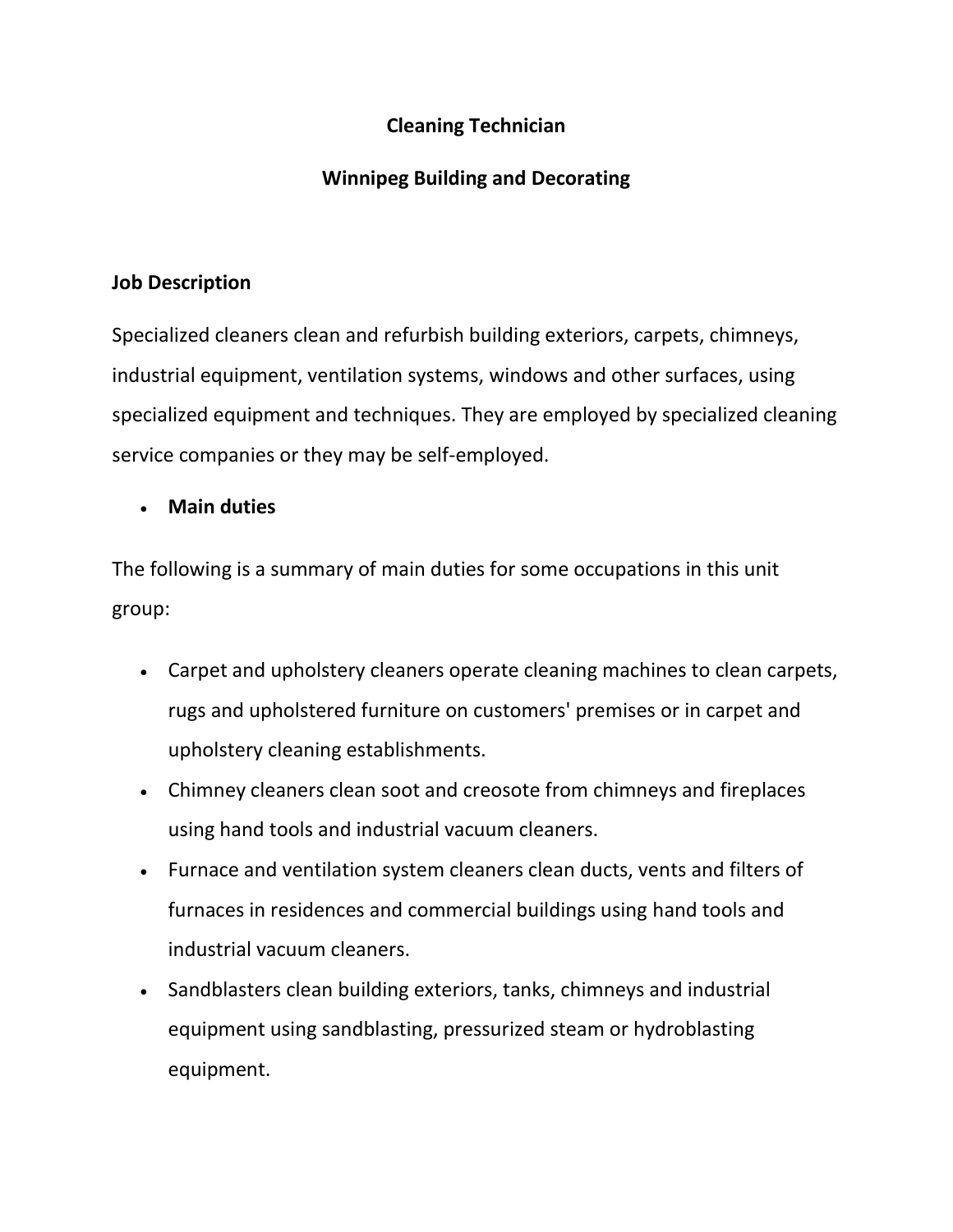## **Cleaning Technician**

# **Winnipeg Building and Decorating**

### **Job Description**

Specialized cleaners clean and refurbish building exteriors, carpets, chimneys, industrial equipment, ventilation systems, windows and other surfaces, using specialized equipment and techniques. They are employed by specialized cleaning service companies or they may be self-employed.

## • **Main duties**

The following is a summary of main duties for some occupations in this unit group:

- Carpet and upholstery cleaners operate cleaning machines to clean carpets, rugs and upholstered furniture on customers' premises or in carpet and upholstery cleaning establishments.
- Chimney cleaners clean soot and creosote from chimneys and fireplaces using hand tools and industrial vacuum cleaners.
- Furnace and ventilation system cleaners clean ducts, vents and filters of furnaces in residences and commercial buildings using hand tools and industrial vacuum cleaners.
- Sandblasters clean building exteriors, tanks, chimneys and industrial equipment using sandblasting, pressurized steam or hydroblasting equipment.